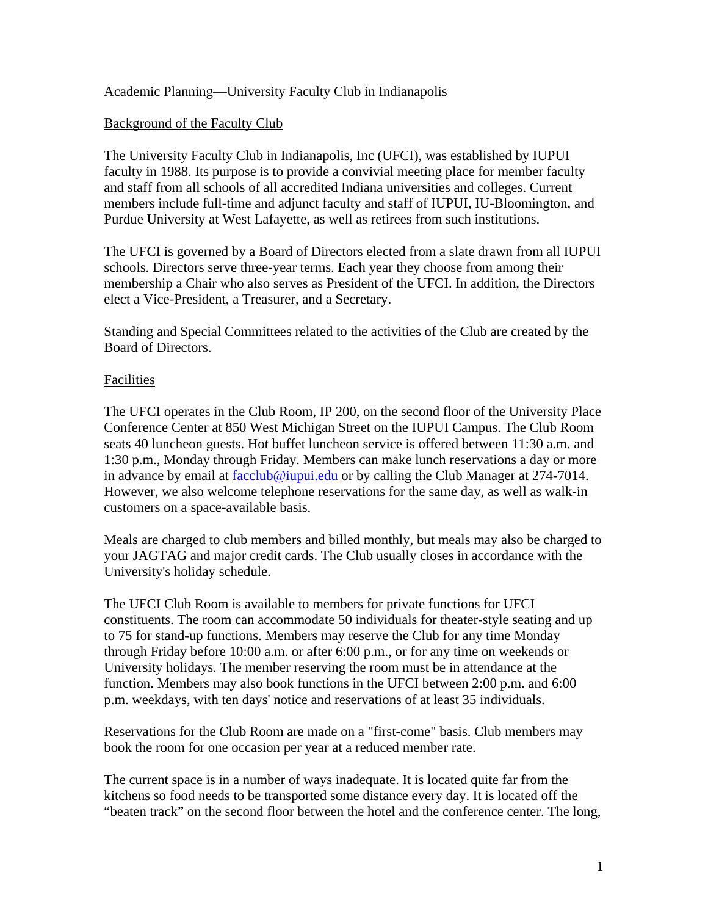## Academic Planning—University Faculty Club in Indianapolis

#### Background of the Faculty Club

The University Faculty Club in Indianapolis, Inc (UFCI), was established by IUPUI faculty in 1988. Its purpose is to provide a convivial meeting place for member faculty and staff from all schools of all accredited Indiana universities and colleges. Current members include full-time and adjunct faculty and staff of IUPUI, IU-Bloomington, and Purdue University at West Lafayette, as well as retirees from such institutions.

The UFCI is governed by a Board of Directors elected from a slate drawn from all IUPUI schools. Directors serve three-year terms. Each year they choose from among their membership a Chair who also serves as President of the UFCI. In addition, the Directors elect a Vice-President, a Treasurer, and a Secretary.

Standing and Special Committees related to the activities of the Club are created by the Board of Directors.

#### Facilities

The UFCI operates in the Club Room, IP 200, on the second floor of the University Place Conference Center at 850 West Michigan Street on the IUPUI Campus. The Club Room seats 40 luncheon guests. Hot buffet luncheon service is offered between 11:30 a.m. and 1:30 p.m., Monday through Friday. Members can make lunch reservations a day or more in advance by email at facclub@iupui.edu or by calling the Club Manager at 274-7014. However, we also welcome telephone reservations for the same day, as well as walk-in customers on a space-available basis.

Meals are charged to club members and billed monthly, but meals may also be charged to your JAGTAG and major credit cards. The Club usually closes in accordance with the University's holiday schedule.

The UFCI Club Room is available to members for private functions for UFCI constituents. The room can accommodate 50 individuals for theater-style seating and up to 75 for stand-up functions. Members may reserve the Club for any time Monday through Friday before 10:00 a.m. or after 6:00 p.m., or for any time on weekends or University holidays. The member reserving the room must be in attendance at the function. Members may also book functions in the UFCI between 2:00 p.m. and 6:00 p.m. weekdays, with ten days' notice and reservations of at least 35 individuals.

Reservations for the Club Room are made on a "first-come" basis. Club members may book the room for one occasion per year at a reduced member rate.

The current space is in a number of ways inadequate. It is located quite far from the kitchens so food needs to be transported some distance every day. It is located off the "beaten track" on the second floor between the hotel and the conference center. The long,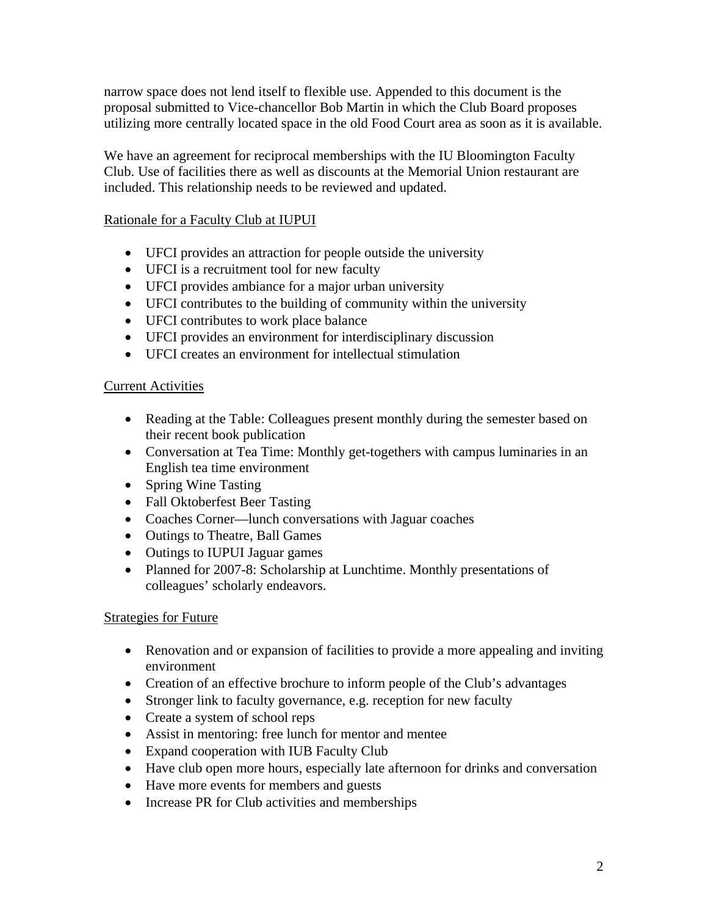narrow space does not lend itself to flexible use. Appended to this document is the proposal submitted to Vice-chancellor Bob Martin in which the Club Board proposes utilizing more centrally located space in the old Food Court area as soon as it is available.

We have an agreement for reciprocal memberships with the IU Bloomington Faculty Club. Use of facilities there as well as discounts at the Memorial Union restaurant are included. This relationship needs to be reviewed and updated.

# Rationale for a Faculty Club at IUPUI

- UFCI provides an attraction for people outside the university
- UFCI is a recruitment tool for new faculty
- UFCI provides ambiance for a major urban university
- UFCI contributes to the building of community within the university
- UFCI contributes to work place balance
- UFCI provides an environment for interdisciplinary discussion
- UFCI creates an environment for intellectual stimulation

## Current Activities

- Reading at the Table: Colleagues present monthly during the semester based on their recent book publication
- Conversation at Tea Time: Monthly get-togethers with campus luminaries in an English tea time environment
- Spring Wine Tasting
- Fall Oktoberfest Beer Tasting
- Coaches Corner—lunch conversations with Jaguar coaches
- Outings to Theatre, Ball Games
- Outings to IUPUI Jaguar games
- Planned for 2007-8: Scholarship at Lunchtime. Monthly presentations of colleagues' scholarly endeavors.

# Strategies for Future

- Renovation and or expansion of facilities to provide a more appealing and inviting environment
- Creation of an effective brochure to inform people of the Club's advantages
- Stronger link to faculty governance, e.g. reception for new faculty
- Create a system of school reps
- Assist in mentoring: free lunch for mentor and mentee
- Expand cooperation with IUB Faculty Club
- Have club open more hours, especially late afternoon for drinks and conversation
- Have more events for members and guests
- Increase PR for Club activities and memberships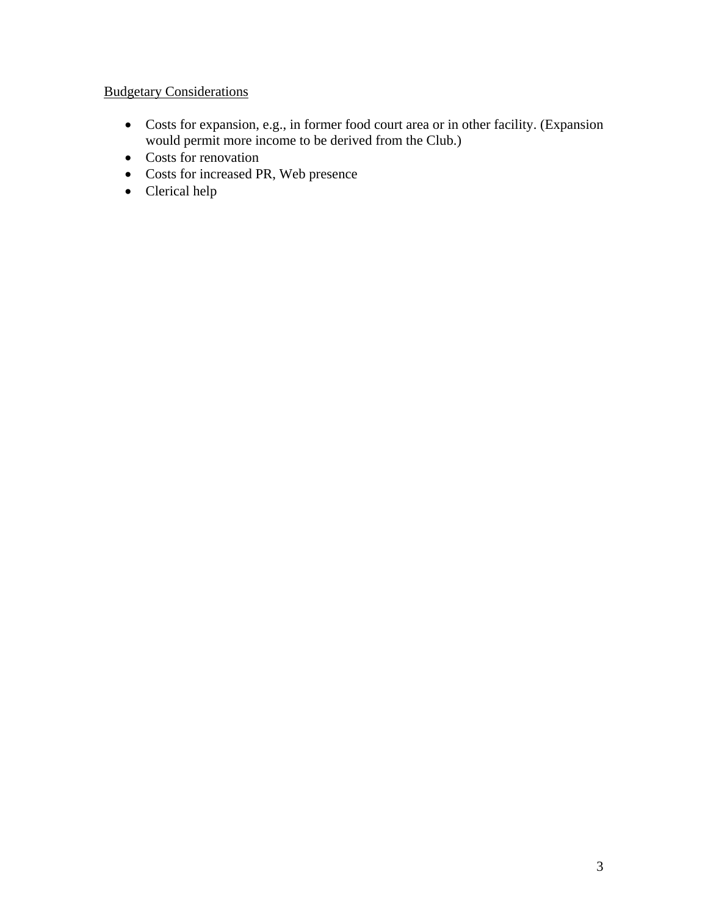# **Budgetary Considerations**

- Costs for expansion, e.g., in former food court area or in other facility. (Expansion would permit more income to be derived from the Club.)
- Costs for renovation
- Costs for increased PR, Web presence
- Clerical help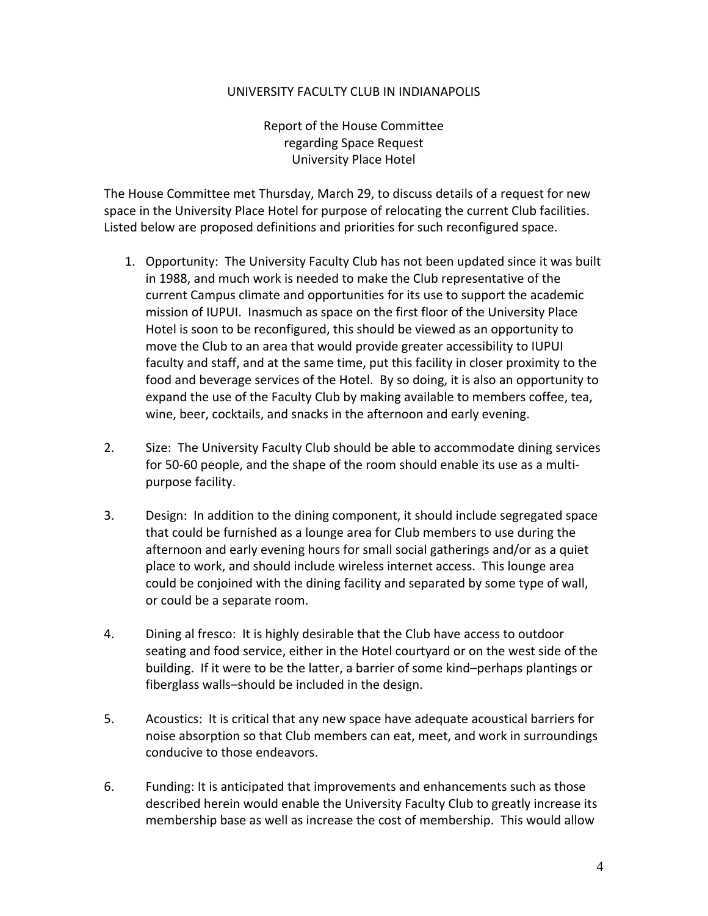#### UNIVERSITY FACULTY CLUB IN INDIANAPOLIS

Report of the House Committee regarding Space Request University Place Hotel

The House Committee met Thursday, March 29, to discuss details of a request for new space in the University Place Hotel for purpose of relocating the current Club facilities. Listed below are proposed definitions and priorities for such reconfigured space.

- 1. Opportunity: The University Faculty Club has not been updated since it was built in 1988, and much work is needed to make the Club representative of the current Campus climate and opportunities for its use to support the academic mission of IUPUI. Inasmuch as space on the first floor of the University Place Hotel is soon to be reconfigured, this should be viewed as an opportunity to move the Club to an area that would provide greater accessibility to IUPUI faculty and staff, and at the same time, put this facility in closer proximity to the food and beverage services of the Hotel. By so doing, it is also an opportunity to expand the use of the Faculty Club by making available to members coffee, tea, wine, beer, cocktails, and snacks in the afternoon and early evening.
- 2. Size: The University Faculty Club should be able to accommodate dining services for 50-60 people, and the shape of the room should enable its use as a multipurpose facility.
- 3. Design: In addition to the dining component, it should include segregated space that could be furnished as a lounge area for Club members to use during the afternoon and early evening hours for small social gatherings and/or as a quiet place to work, and should include wireless internet access. This lounge area could be conjoined with the dining facility and separated by some type of wall, or could be a separate room.
- 4. Dining al fresco: It is highly desirable that the Club have access to outdoor seating and food service, either in the Hotel courtyard or on the west side of the building. If it were to be the latter, a barrier of some kind–perhaps plantings or fiberglass walls–should be included in the design.
- 5. Acoustics: It is critical that any new space have adequate acoustical barriers for noise absorption so that Club members can eat, meet, and work in surroundings conducive to those endeavors.
- 6. Funding: It is anticipated that improvements and enhancements such as those described herein would enable the University Faculty Club to greatly increase its membership base as well as increase the cost of membership. This would allow